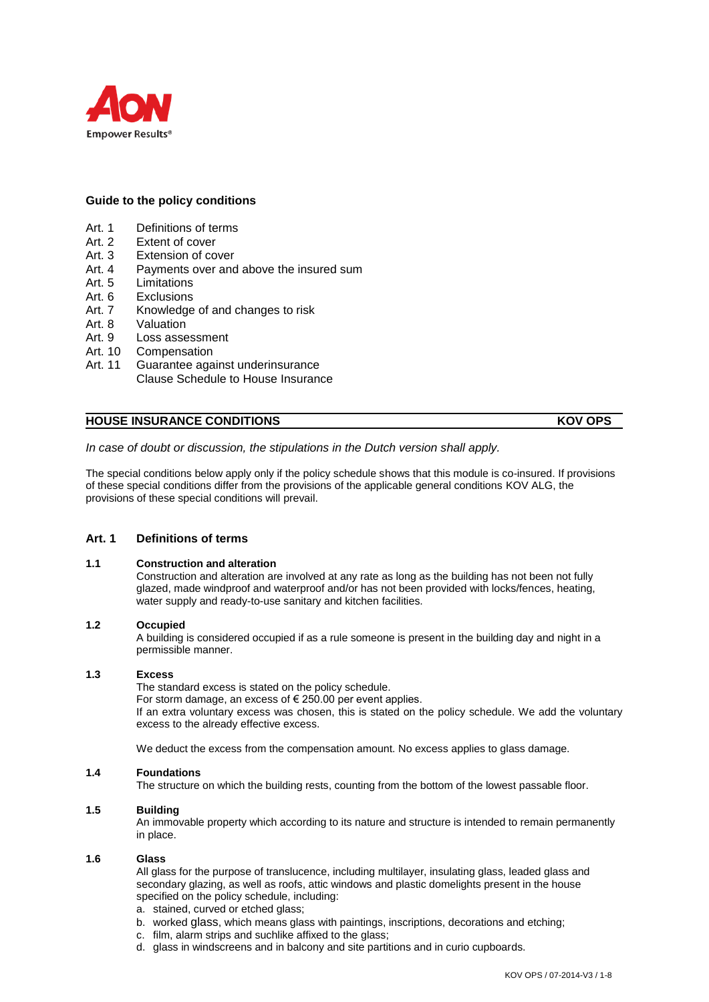

# **Guide to the policy conditions**

- Art. 1 Definitions of terms<br>Art. 2 Extent of cover
- Art. 2 Extent of cover<br>Art. 3 Extension of co
- Extension of cover
- Art. 4 Payments over and above the insured sum
- Art. 5 Limitations
- Art. 6 Exclusions
- Art. 7 Knowledge of and changes to risk
- Art. 8 Valuation
- Art. 9 Loss assessment
- Art. 10 Compensation
- Art. 11 Guarantee against underinsurance Clause Schedule to House Insurance

# **HOUSE INSURANCE CONDITIONS KOV OPS**

*In case of doubt or discussion, the stipulations in the Dutch version shall apply.*

The special conditions below apply only if the policy schedule shows that this module is co-insured. If provisions of these special conditions differ from the provisions of the applicable general conditions KOV ALG, the provisions of these special conditions will prevail.

# **Art. 1 Definitions of terms**

## **1.1 Construction and alteration**

Construction and alteration are involved at any rate as long as the building has not been not fully glazed, made windproof and waterproof and/or has not been provided with locks/fences, heating, water supply and ready-to-use sanitary and kitchen facilities.

## **1.2 Occupied**

A building is considered occupied if as a rule someone is present in the building day and night in a permissible manner.

## **1.3 Excess**

The standard excess is stated on the policy schedule.

For storm damage, an excess of € 250.00 per event applies.

If an extra voluntary excess was chosen, this is stated on the policy schedule. We add the voluntary excess to the already effective excess.

We deduct the excess from the compensation amount. No excess applies to glass damage.

## **1.4 Foundations**

The structure on which the building rests, counting from the bottom of the lowest passable floor.

## **1.5 Building**

An immovable property which according to its nature and structure is intended to remain permanently in place.

## **1.6 Glass**

All glass for the purpose of translucence, including multilayer, insulating glass, leaded glass and secondary glazing, as well as roofs, attic windows and plastic domelights present in the house specified on the policy schedule, including:

- a. stained, curved or etched glass;
- b. worked glass, which means glass with paintings, inscriptions, decorations and etching;
- c. film, alarm strips and suchlike affixed to the glass;
- d. glass in windscreens and in balcony and site partitions and in curio cupboards.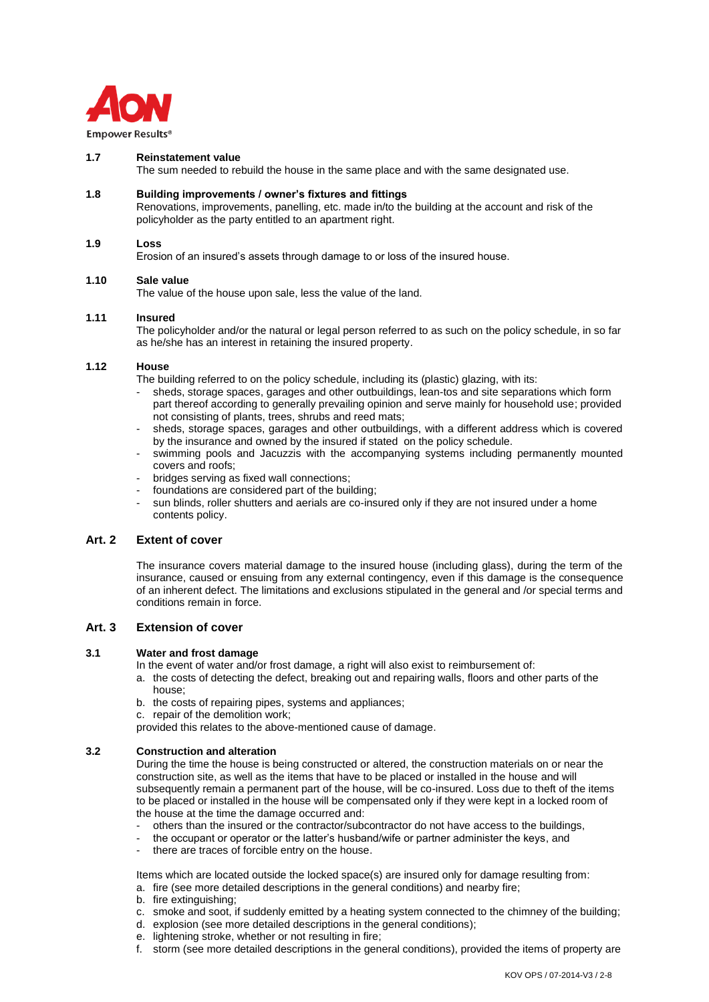

## **1.7 Reinstatement value**

The sum needed to rebuild the house in the same place and with the same designated use.

## **1.8 Building improvements / owner's fixtures and fittings**

Renovations, improvements, panelling, etc. made in/to the building at the account and risk of the policyholder as the party entitled to an apartment right.

#### **1.9 Loss**

Erosion of an insured's assets through damage to or loss of the insured house.

#### **1.10 Sale value**

The value of the house upon sale, less the value of the land.

#### **1.11 Insured**

The policyholder and/or the natural or legal person referred to as such on the policy schedule, in so far as he/she has an interest in retaining the insured property.

## **1.12 House**

The building referred to on the policy schedule, including its (plastic) glazing, with its:

- sheds, storage spaces, garages and other outbuildings, lean-tos and site separations which form part thereof according to generally prevailing opinion and serve mainly for household use; provided not consisting of plants, trees, shrubs and reed mats;
- sheds, storage spaces, garages and other outbuildings, with a different address which is covered by the insurance and owned by the insured if stated on the policy schedule.
- swimming pools and Jacuzzis with the accompanying systems including permanently mounted covers and roofs;
- bridges serving as fixed wall connections;
- foundations are considered part of the building;
- sun blinds, roller shutters and aerials are co-insured only if they are not insured under a home contents policy.

# **Art. 2 Extent of cover**

The insurance covers material damage to the insured house (including glass), during the term of the insurance, caused or ensuing from any external contingency, even if this damage is the consequence of an inherent defect. The limitations and exclusions stipulated in the general and /or special terms and conditions remain in force.

## **Art. 3 Extension of cover**

#### **3.1 Water and frost damage**

In the event of water and/or frost damage, a right will also exist to reimbursement of:

- a. the costs of detecting the defect, breaking out and repairing walls, floors and other parts of the house;
- b. the costs of repairing pipes, systems and appliances;
- c. repair of the demolition work;
- provided this relates to the above-mentioned cause of damage.

## **3.2 Construction and alteration**

During the time the house is being constructed or altered, the construction materials on or near the construction site, as well as the items that have to be placed or installed in the house and will subsequently remain a permanent part of the house, will be co-insured. Loss due to theft of the items to be placed or installed in the house will be compensated only if they were kept in a locked room of the house at the time the damage occurred and:

- others than the insured or the contractor/subcontractor do not have access to the buildings,
- the occupant or operator or the latter's husband/wife or partner administer the keys, and
- there are traces of forcible entry on the house.

Items which are located outside the locked space(s) are insured only for damage resulting from:

- a. fire (see more detailed descriptions in the general conditions) and nearby fire;
- b. fire extinguishing;
- c. smoke and soot, if suddenly emitted by a heating system connected to the chimney of the building;
- d. explosion (see more detailed descriptions in the general conditions);
- e. lightening stroke, whether or not resulting in fire;
- f. storm (see more detailed descriptions in the general conditions), provided the items of property are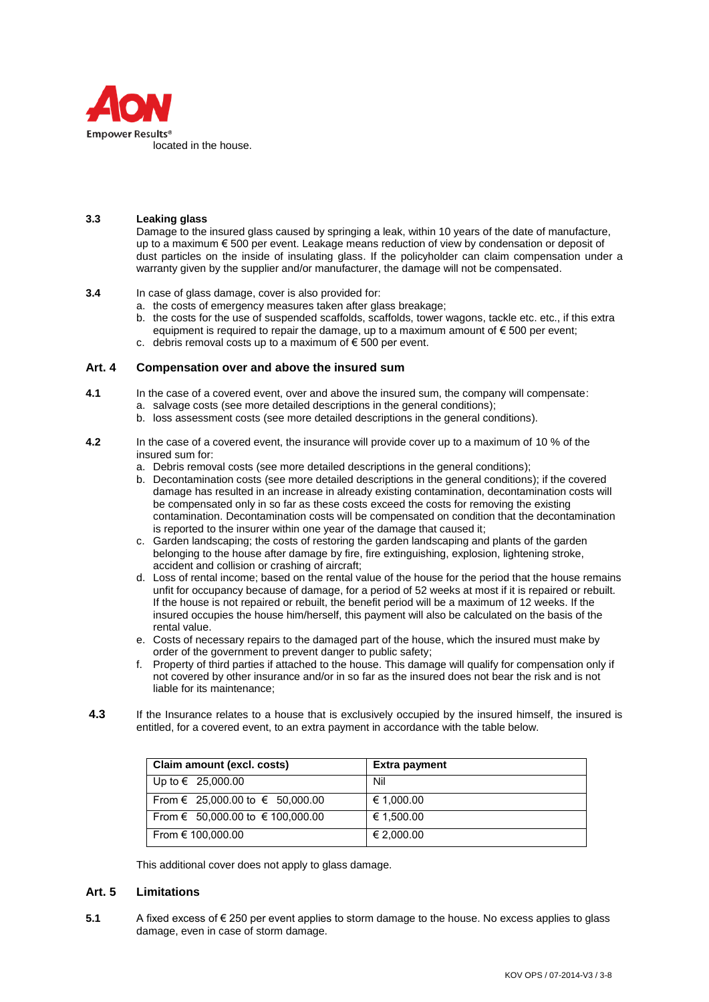

## **3.3 Leaking glass**

Damage to the insured glass caused by springing a leak, within 10 years of the date of manufacture, up to a maximum € 500 per event. Leakage means reduction of view by condensation or deposit of dust particles on the inside of insulating glass. If the policyholder can claim compensation under a warranty given by the supplier and/or manufacturer, the damage will not be compensated.

## **3.4** In case of glass damage, cover is also provided for:

- a. the costs of emergency measures taken after glass breakage;
- b. the costs for the use of suspended scaffolds, scaffolds, tower wagons, tackle etc. etc., if this extra equipment is required to repair the damage, up to a maximum amount of  $\epsilon$  500 per event;
- c. debris removal costs up to a maximum of  $\epsilon$  500 per event.

## **Art. 4 Compensation over and above the insured sum**

- **4.1** In the case of a covered event, over and above the insured sum, the company will compensate:
	- a. salvage costs (see more detailed descriptions in the general conditions);
		- b. loss assessment costs (see more detailed descriptions in the general conditions).
- **4.2** In the case of a covered event, the insurance will provide cover up to a maximum of 10 % of the insured sum for:
	- a. Debris removal costs (see more detailed descriptions in the general conditions);
	- b. Decontamination costs (see more detailed descriptions in the general conditions); if the covered damage has resulted in an increase in already existing contamination, decontamination costs will be compensated only in so far as these costs exceed the costs for removing the existing contamination. Decontamination costs will be compensated on condition that the decontamination is reported to the insurer within one year of the damage that caused it;
	- c. Garden landscaping; the costs of restoring the garden landscaping and plants of the garden belonging to the house after damage by fire, fire extinguishing, explosion, lightening stroke, accident and collision or crashing of aircraft;
	- d. Loss of rental income; based on the rental value of the house for the period that the house remains unfit for occupancy because of damage, for a period of 52 weeks at most if it is repaired or rebuilt. If the house is not repaired or rebuilt, the benefit period will be a maximum of 12 weeks. If the insured occupies the house him/herself, this payment will also be calculated on the basis of the rental value.
	- e. Costs of necessary repairs to the damaged part of the house, which the insured must make by order of the government to prevent danger to public safety;
	- f. Property of third parties if attached to the house. This damage will qualify for compensation only if not covered by other insurance and/or in so far as the insured does not bear the risk and is not liable for its maintenance;
- **4.3** If the Insurance relates to a house that is exclusively occupied by the insured himself, the insured is entitled, for a covered event, to an extra payment in accordance with the table below.

| Claim amount (excl. costs)       | <b>Extra payment</b> |
|----------------------------------|----------------------|
| Up to $∈$ 25,000.00              | Nil                  |
| From € 25,000.00 to € 50,000.00  | € 1,000.00           |
| From € 50,000.00 to € 100,000.00 | € 1,500.00           |
| From € 100,000.00                | € 2,000.00           |

This additional cover does not apply to glass damage.

# **Art. 5 Limitations**

**5.1** A fixed excess of € 250 per event applies to storm damage to the house. No excess applies to glass damage, even in case of storm damage.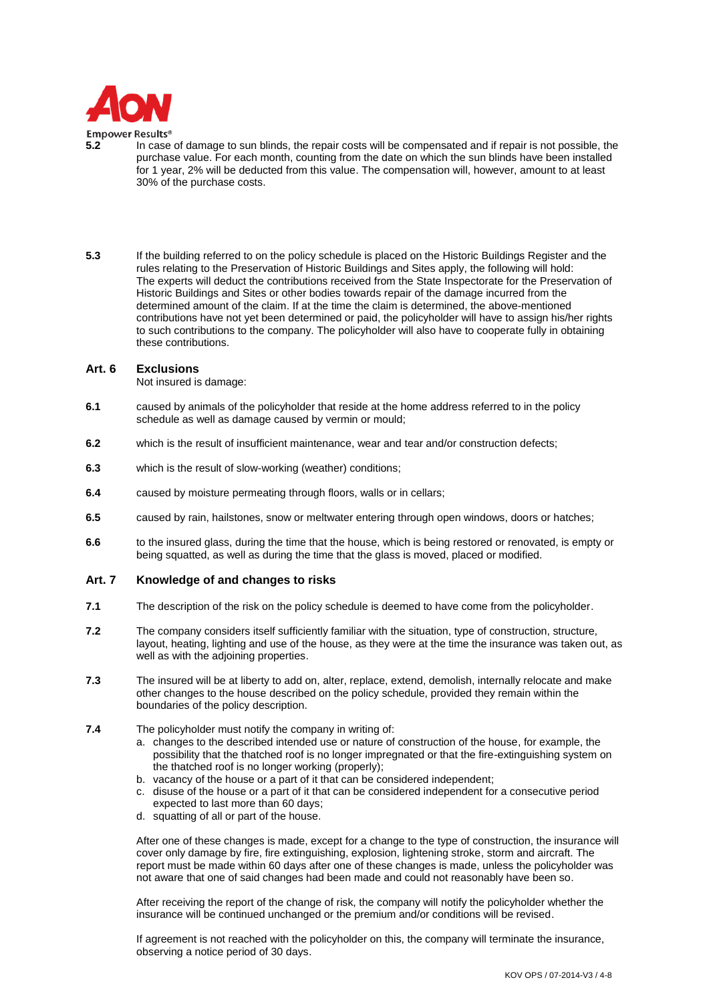

#### **Empower Results®**

- **5.2** In case of damage to sun blinds, the repair costs will be compensated and if repair is not possible, the purchase value. For each month, counting from the date on which the sun blinds have been installed for 1 year, 2% will be deducted from this value. The compensation will, however, amount to at least 30% of the purchase costs.
- **5.3** If the building referred to on the policy schedule is placed on the Historic Buildings Register and the rules relating to the Preservation of Historic Buildings and Sites apply, the following will hold: The experts will deduct the contributions received from the State Inspectorate for the Preservation of Historic Buildings and Sites or other bodies towards repair of the damage incurred from the determined amount of the claim. If at the time the claim is determined, the above-mentioned contributions have not yet been determined or paid, the policyholder will have to assign his/her rights to such contributions to the company. The policyholder will also have to cooperate fully in obtaining these contributions.

#### **Art. 6 Exclusions**

Not insured is damage:

- **6.1** caused by animals of the policyholder that reside at the home address referred to in the policy schedule as well as damage caused by vermin or mould;
- **6.2** which is the result of insufficient maintenance, wear and tear and/or construction defects;
- **6.3** which is the result of slow-working (weather) conditions;
- **6.4** caused by moisture permeating through floors, walls or in cellars;
- **6.5** caused by rain, hailstones, snow or meltwater entering through open windows, doors or hatches;
- **6.6** to the insured glass, during the time that the house, which is being restored or renovated, is empty or being squatted, as well as during the time that the glass is moved, placed or modified.

## **Art. 7 Knowledge of and changes to risks**

- **7.1** The description of the risk on the policy schedule is deemed to have come from the policyholder.
- **7.2** The company considers itself sufficiently familiar with the situation, type of construction, structure, layout, heating, lighting and use of the house, as they were at the time the insurance was taken out, as well as with the adjoining properties.
- **7.3** The insured will be at liberty to add on, alter, replace, extend, demolish, internally relocate and make other changes to the house described on the policy schedule, provided they remain within the boundaries of the policy description.
- **7.4** The policyholder must notify the company in writing of:
	- a. changes to the described intended use or nature of construction of the house, for example, the possibility that the thatched roof is no longer impregnated or that the fire-extinguishing system on the thatched roof is no longer working (properly);
	- b. vacancy of the house or a part of it that can be considered independent;
	- c. disuse of the house or a part of it that can be considered independent for a consecutive period expected to last more than 60 days;
	- d. squatting of all or part of the house.

After one of these changes is made, except for a change to the type of construction, the insurance will cover only damage by fire, fire extinguishing, explosion, lightening stroke, storm and aircraft. The report must be made within 60 days after one of these changes is made, unless the policyholder was not aware that one of said changes had been made and could not reasonably have been so.

After receiving the report of the change of risk, the company will notify the policyholder whether the insurance will be continued unchanged or the premium and/or conditions will be revised.

If agreement is not reached with the policyholder on this, the company will terminate the insurance, observing a notice period of 30 days.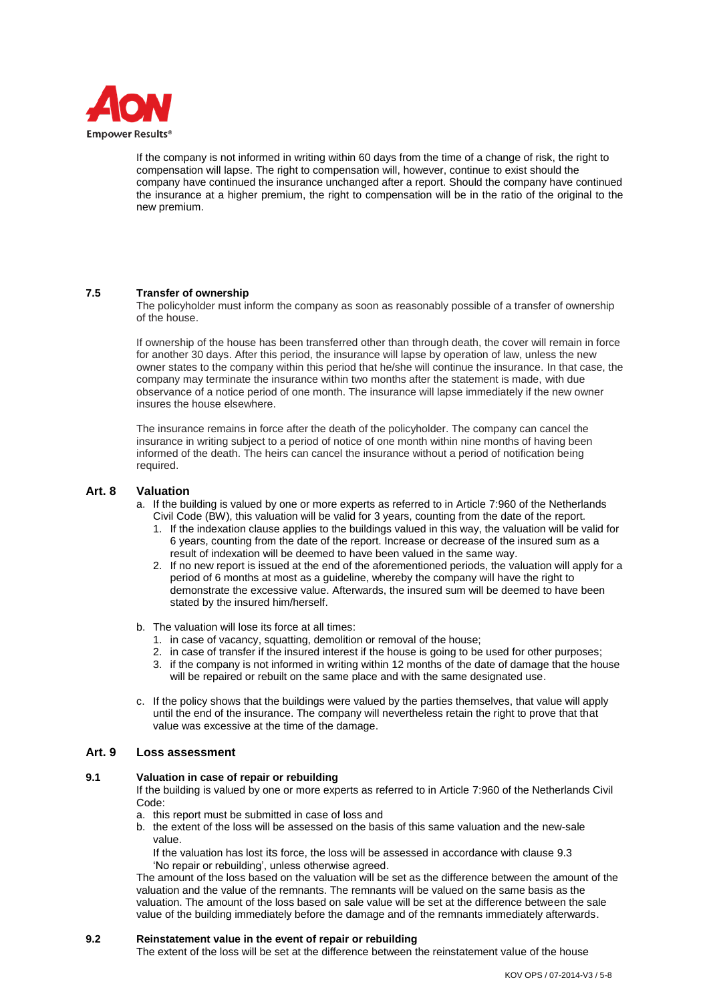

If the company is not informed in writing within 60 days from the time of a change of risk, the right to compensation will lapse. The right to compensation will, however, continue to exist should the company have continued the insurance unchanged after a report. Should the company have continued the insurance at a higher premium, the right to compensation will be in the ratio of the original to the new premium.

## **7.5 Transfer of ownership**

The policyholder must inform the company as soon as reasonably possible of a transfer of ownership of the house.

If ownership of the house has been transferred other than through death, the cover will remain in force for another 30 days. After this period, the insurance will lapse by operation of law, unless the new owner states to the company within this period that he/she will continue the insurance. In that case, the company may terminate the insurance within two months after the statement is made, with due observance of a notice period of one month. The insurance will lapse immediately if the new owner insures the house elsewhere.

The insurance remains in force after the death of the policyholder. The company can cancel the insurance in writing subject to a period of notice of one month within nine months of having been informed of the death. The heirs can cancel the insurance without a period of notification being required.

## **Art. 8 Valuation**

- a. If the building is valued by one or more experts as referred to in Article 7:960 of the Netherlands Civil Code (BW), this valuation will be valid for 3 years, counting from the date of the report.
	- 1. If the indexation clause applies to the buildings valued in this way, the valuation will be valid for 6 years, counting from the date of the report. Increase or decrease of the insured sum as a result of indexation will be deemed to have been valued in the same way.
	- 2. If no new report is issued at the end of the aforementioned periods, the valuation will apply for a period of 6 months at most as a guideline, whereby the company will have the right to demonstrate the excessive value. Afterwards, the insured sum will be deemed to have been stated by the insured him/herself.
- b. The valuation will lose its force at all times:
	- 1. in case of vacancy, squatting, demolition or removal of the house;
	- 2. in case of transfer if the insured interest if the house is going to be used for other purposes;
	- 3. if the company is not informed in writing within 12 months of the date of damage that the house will be repaired or rebuilt on the same place and with the same designated use.
- c. If the policy shows that the buildings were valued by the parties themselves, that value will apply until the end of the insurance. The company will nevertheless retain the right to prove that that value was excessive at the time of the damage.

## **Art. 9 Loss assessment**

## **9.1 Valuation in case of repair or rebuilding**

If the building is valued by one or more experts as referred to in Article 7:960 of the Netherlands Civil Code:

- a. this report must be submitted in case of loss and
- b. the extent of the loss will be assessed on the basis of this same valuation and the new-sale value.

If the valuation has lost its force, the loss will be assessed in accordance with clause 9.3 'No repair or rebuilding', unless otherwise agreed.

The amount of the loss based on the valuation will be set as the difference between the amount of the valuation and the value of the remnants. The remnants will be valued on the same basis as the valuation. The amount of the loss based on sale value will be set at the difference between the sale value of the building immediately before the damage and of the remnants immediately afterwards.

## **9.2 Reinstatement value in the event of repair or rebuilding**

The extent of the loss will be set at the difference between the reinstatement value of the house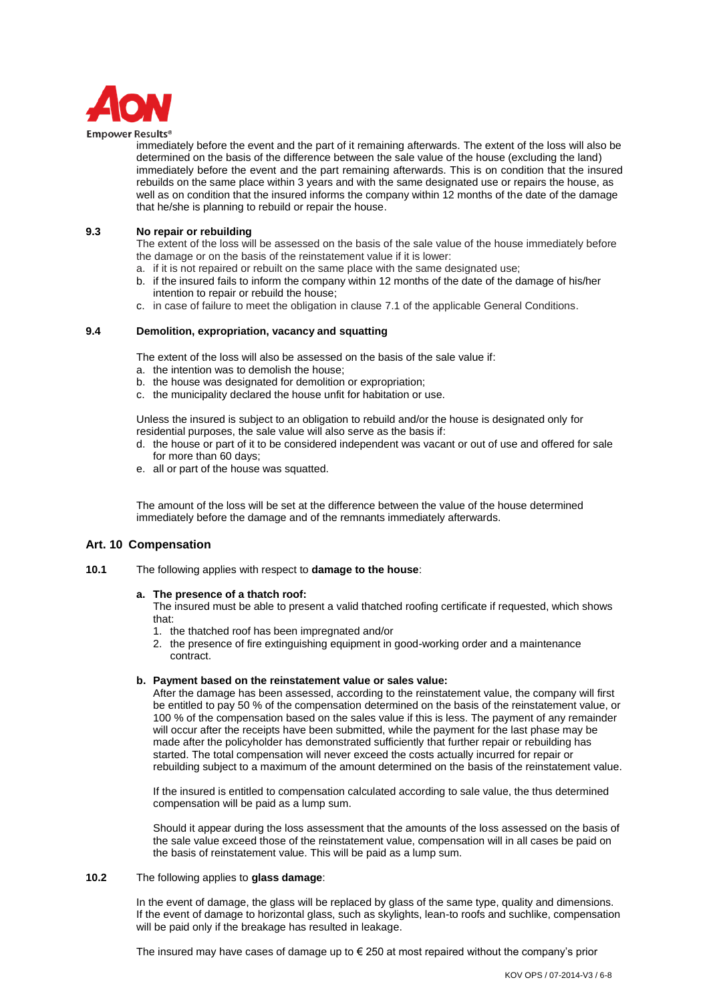

#### **Empower Results®**

immediately before the event and the part of it remaining afterwards. The extent of the loss will also be determined on the basis of the difference between the sale value of the house (excluding the land) immediately before the event and the part remaining afterwards. This is on condition that the insured rebuilds on the same place within 3 years and with the same designated use or repairs the house, as well as on condition that the insured informs the company within 12 months of the date of the damage that he/she is planning to rebuild or repair the house.

## **9.3 No repair or rebuilding**

The extent of the loss will be assessed on the basis of the sale value of the house immediately before the damage or on the basis of the reinstatement value if it is lower:

- a. if it is not repaired or rebuilt on the same place with the same designated use;
- b. if the insured fails to inform the company within 12 months of the date of the damage of his/her intention to repair or rebuild the house;
- c. in case of failure to meet the obligation in clause 7.1 of the applicable General Conditions.

## **9.4 Demolition, expropriation, vacancy and squatting**

The extent of the loss will also be assessed on the basis of the sale value if:

- a. the intention was to demolish the house;
- b. the house was designated for demolition or expropriation;
- c. the municipality declared the house unfit for habitation or use.

Unless the insured is subject to an obligation to rebuild and/or the house is designated only for residential purposes, the sale value will also serve as the basis if:

- d. the house or part of it to be considered independent was vacant or out of use and offered for sale for more than 60 days;
- e. all or part of the house was squatted.

The amount of the loss will be set at the difference between the value of the house determined immediately before the damage and of the remnants immediately afterwards.

## **Art. 10 Compensation**

**10.1** The following applies with respect to **damage to the house**:

#### **a. The presence of a thatch roof:**

The insured must be able to present a valid thatched roofing certificate if requested, which shows that:

- 1. the thatched roof has been impregnated and/or
- 2. the presence of fire extinguishing equipment in good-working order and a maintenance contract.

#### **b. Payment based on the reinstatement value or sales value:**

After the damage has been assessed, according to the reinstatement value, the company will first be entitled to pay 50 % of the compensation determined on the basis of the reinstatement value, or 100 % of the compensation based on the sales value if this is less. The payment of any remainder will occur after the receipts have been submitted, while the payment for the last phase may be made after the policyholder has demonstrated sufficiently that further repair or rebuilding has started. The total compensation will never exceed the costs actually incurred for repair or rebuilding subject to a maximum of the amount determined on the basis of the reinstatement value.

If the insured is entitled to compensation calculated according to sale value, the thus determined compensation will be paid as a lump sum.

Should it appear during the loss assessment that the amounts of the loss assessed on the basis of the sale value exceed those of the reinstatement value, compensation will in all cases be paid on the basis of reinstatement value. This will be paid as a lump sum.

## **10.2** The following applies to **glass damage**:

In the event of damage, the glass will be replaced by glass of the same type, quality and dimensions. If the event of damage to horizontal glass, such as skylights, lean-to roofs and suchlike, compensation will be paid only if the breakage has resulted in leakage.

The insured may have cases of damage up to  $\epsilon$  250 at most repaired without the company's prior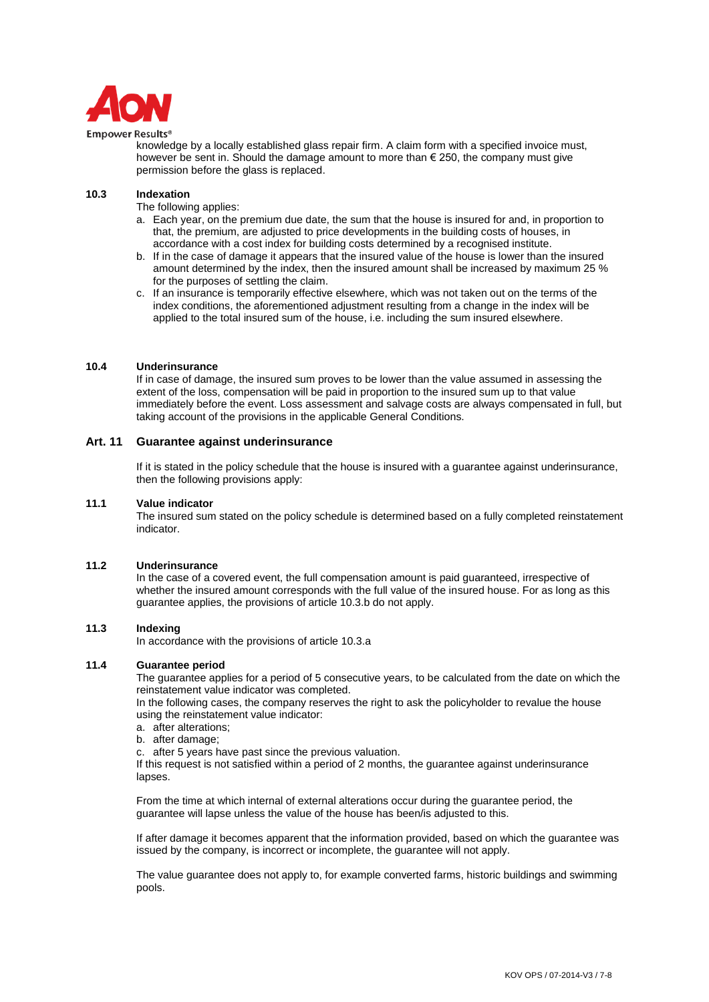

#### **Empower Results®**

knowledge by a locally established glass repair firm. A claim form with a specified invoice must, however be sent in. Should the damage amount to more than  $\epsilon$  250, the company must give permission before the glass is replaced.

## **10.3 Indexation**

The following applies:

- a. Each year, on the premium due date, the sum that the house is insured for and, in proportion to that, the premium, are adjusted to price developments in the building costs of houses, in accordance with a cost index for building costs determined by a recognised institute.
- b. If in the case of damage it appears that the insured value of the house is lower than the insured amount determined by the index, then the insured amount shall be increased by maximum 25 % for the purposes of settling the claim.
- c. If an insurance is temporarily effective elsewhere, which was not taken out on the terms of the index conditions, the aforementioned adjustment resulting from a change in the index will be applied to the total insured sum of the house, i.e. including the sum insured elsewhere.

## **10.4 Underinsurance**

If in case of damage, the insured sum proves to be lower than the value assumed in assessing the extent of the loss, compensation will be paid in proportion to the insured sum up to that value immediately before the event. Loss assessment and salvage costs are always compensated in full, but taking account of the provisions in the applicable General Conditions.

## **Art. 11 Guarantee against underinsurance**

If it is stated in the policy schedule that the house is insured with a guarantee against underinsurance, then the following provisions apply:

## **11.1 Value indicator**

The insured sum stated on the policy schedule is determined based on a fully completed reinstatement indicator.

## **11.2 Underinsurance**

In the case of a covered event, the full compensation amount is paid guaranteed, irrespective of whether the insured amount corresponds with the full value of the insured house. For as long as this guarantee applies, the provisions of article 10.3.b do not apply.

## **11.3 Indexing**

In accordance with the provisions of article 10.3.a

## **11.4 Guarantee period**

The guarantee applies for a period of 5 consecutive years, to be calculated from the date on which the reinstatement value indicator was completed.

In the following cases, the company reserves the right to ask the policyholder to revalue the house using the reinstatement value indicator:

- a. after alterations;
- b. after damage;
- c. after 5 years have past since the previous valuation.

If this request is not satisfied within a period of 2 months, the guarantee against underinsurance lapses.

From the time at which internal of external alterations occur during the guarantee period, the guarantee will lapse unless the value of the house has been/is adjusted to this.

If after damage it becomes apparent that the information provided, based on which the guarantee was issued by the company, is incorrect or incomplete, the guarantee will not apply.

The value guarantee does not apply to, for example converted farms, historic buildings and swimming pools.